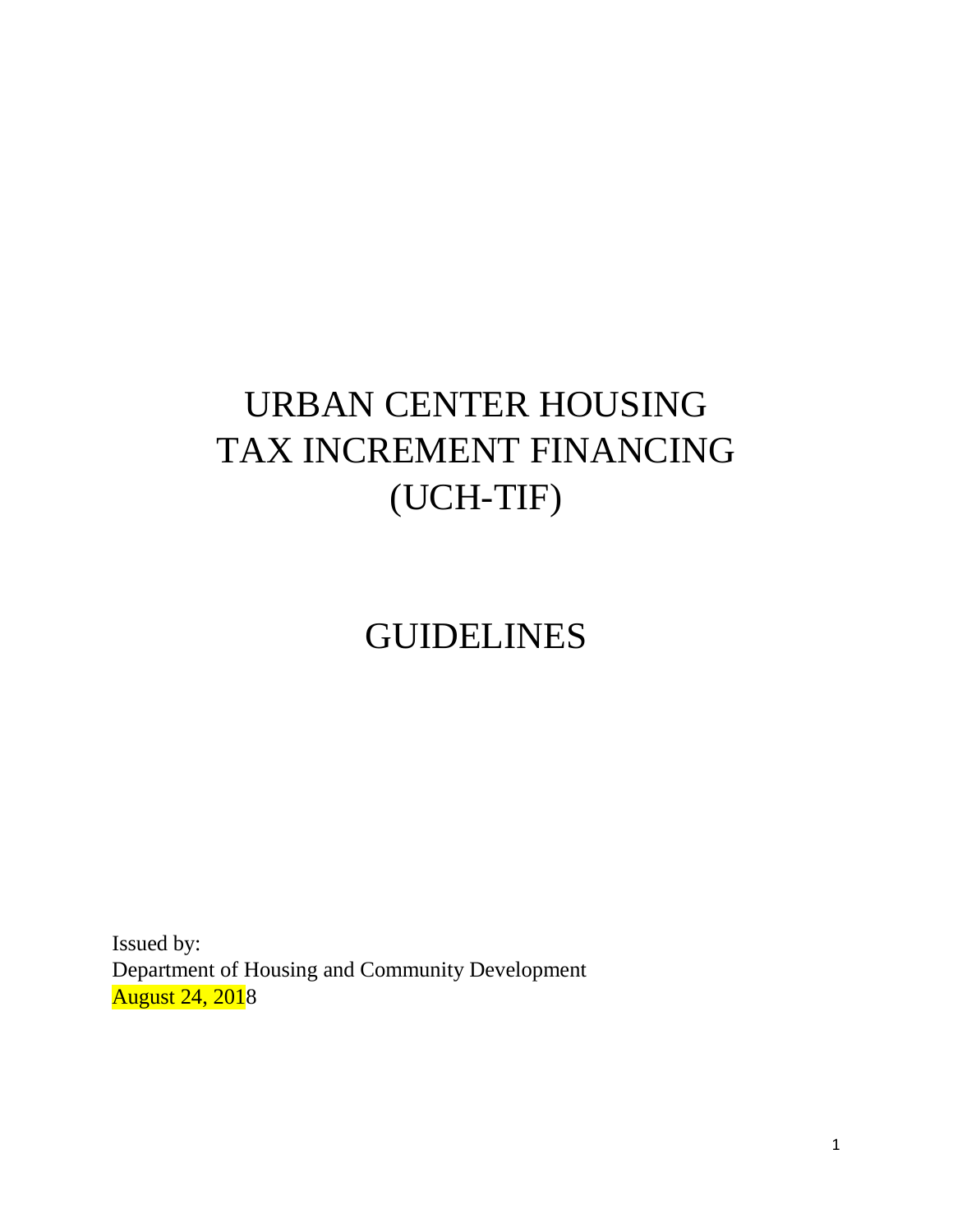# URBAN CENTER HOUSING TAX INCREMENT FINANCING (UCH-TIF)

# GUIDELINES

Issued by: Department of Housing and Community Development August 24, 2018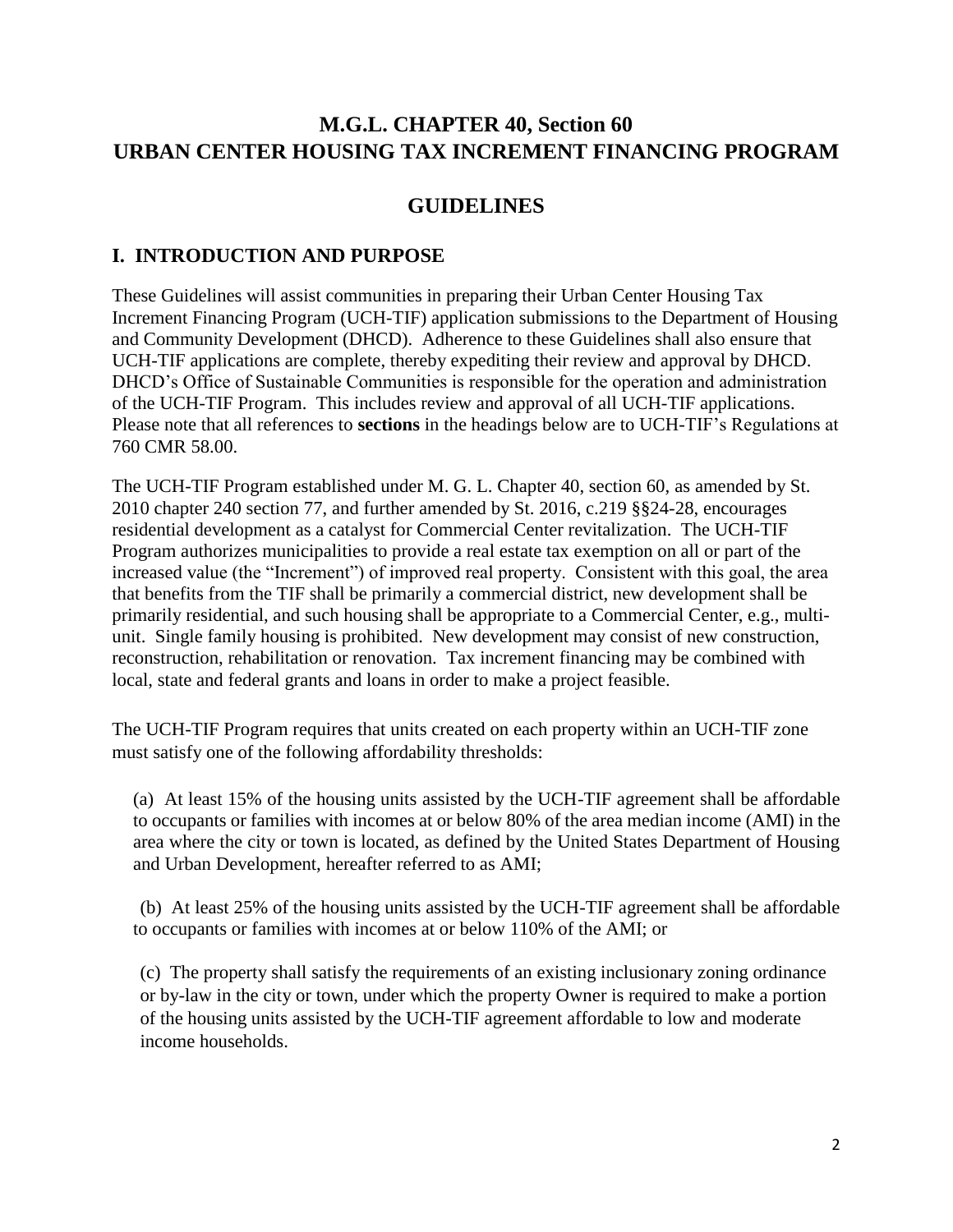# **M.G.L. CHAPTER 40, Section 60 URBAN CENTER HOUSING TAX INCREMENT FINANCING PROGRAM**

## **GUIDELINES**

## **I. INTRODUCTION AND PURPOSE**

These Guidelines will assist communities in preparing their Urban Center Housing Tax Increment Financing Program (UCH-TIF) application submissions to the Department of Housing and Community Development (DHCD). Adherence to these Guidelines shall also ensure that UCH-TIF applications are complete, thereby expediting their review and approval by DHCD. DHCD's Office of Sustainable Communities is responsible for the operation and administration of the UCH-TIF Program. This includes review and approval of all UCH-TIF applications. Please note that all references to **sections** in the headings below are to UCH-TIF's Regulations at 760 CMR 58.00.

The UCH-TIF Program established under M. G. L. Chapter 40, section 60, as amended by St. 2010 chapter 240 section 77, and further amended by St. 2016, c.219 §§24-28, encourages residential development as a catalyst for Commercial Center revitalization. The UCH-TIF Program authorizes municipalities to provide a real estate tax exemption on all or part of the increased value (the "Increment") of improved real property. Consistent with this goal, the area that benefits from the TIF shall be primarily a commercial district, new development shall be primarily residential, and such housing shall be appropriate to a Commercial Center, e.g., multiunit. Single family housing is prohibited. New development may consist of new construction, reconstruction, rehabilitation or renovation. Tax increment financing may be combined with local, state and federal grants and loans in order to make a project feasible.

The UCH-TIF Program requires that units created on each property within an UCH-TIF zone must satisfy one of the following affordability thresholds:

(a) At least 15% of the housing units assisted by the UCH-TIF agreement shall be affordable to occupants or families with incomes at or below 80% of the area median income (AMI) in the area where the city or town is located, as defined by the United States Department of Housing and Urban Development, hereafter referred to as AMI;

(b) At least 25% of the housing units assisted by the UCH-TIF agreement shall be affordable to occupants or families with incomes at or below 110% of the AMI; or

(c) The property shall satisfy the requirements of an existing inclusionary zoning ordinance or by-law in the city or town, under which the property Owner is required to make a portion of the housing units assisted by the UCH-TIF agreement affordable to low and moderate income households.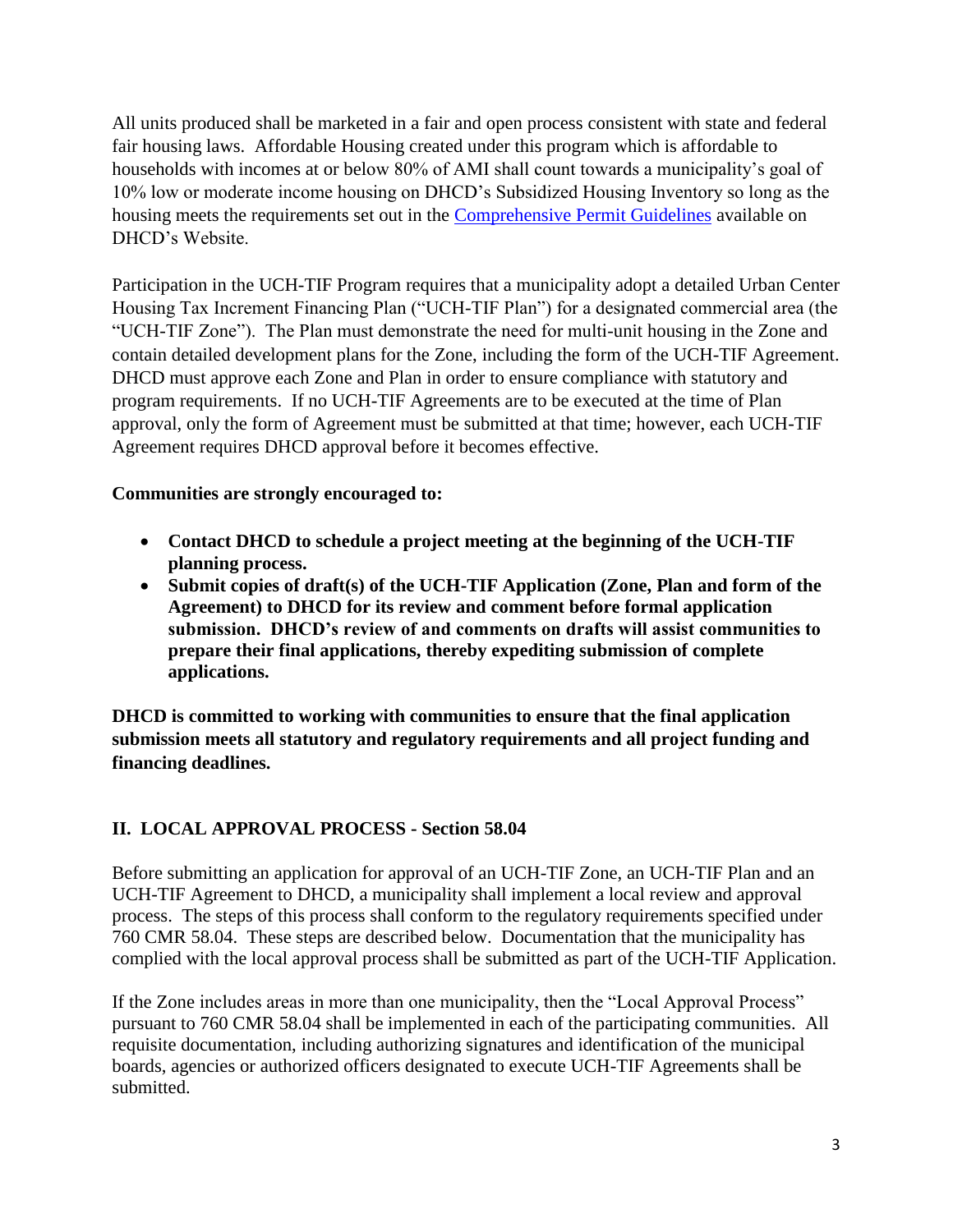All units produced shall be marketed in a fair and open process consistent with state and federal fair housing laws. Affordable Housing created under this program which is affordable to households with incomes at or below 80% of AMI shall count towards a municipality's goal of 10% low or moderate income housing on DHCD's Subsidized Housing Inventory so long as the housing meets the requirements set out in the [Comprehensive Permit Guidelines](http://www.mass.gov/?pageID=ehedterminal&L=3&L0=Home&L1=Community+Development&L2=Chapter+40B+Planning&sid=Ehed&b=terminalcontent&f=dhcd_hd_shi_shi&csid=Ehed) available on DHCD's Website.

Participation in the UCH-TIF Program requires that a municipality adopt a detailed Urban Center Housing Tax Increment Financing Plan ("UCH-TIF Plan") for a designated commercial area (the "UCH-TIF Zone"). The Plan must demonstrate the need for multi-unit housing in the Zone and contain detailed development plans for the Zone, including the form of the UCH-TIF Agreement. DHCD must approve each Zone and Plan in order to ensure compliance with statutory and program requirements. If no UCH-TIF Agreements are to be executed at the time of Plan approval, only the form of Agreement must be submitted at that time; however, each UCH-TIF Agreement requires DHCD approval before it becomes effective.

### **Communities are strongly encouraged to:**

- **Contact DHCD to schedule a project meeting at the beginning of the UCH-TIF planning process.**
- **Submit copies of draft(s) of the UCH-TIF Application (Zone, Plan and form of the Agreement) to DHCD for its review and comment before formal application submission. DHCD's review of and comments on drafts will assist communities to prepare their final applications, thereby expediting submission of complete applications.**

**DHCD is committed to working with communities to ensure that the final application submission meets all statutory and regulatory requirements and all project funding and financing deadlines.** 

## **II. LOCAL APPROVAL PROCESS - Section 58.04**

Before submitting an application for approval of an UCH-TIF Zone, an UCH-TIF Plan and an UCH-TIF Agreement to DHCD, a municipality shall implement a local review and approval process. The steps of this process shall conform to the regulatory requirements specified under 760 CMR 58.04. These steps are described below. Documentation that the municipality has complied with the local approval process shall be submitted as part of the UCH-TIF Application.

If the Zone includes areas in more than one municipality, then the "Local Approval Process" pursuant to 760 CMR 58.04 shall be implemented in each of the participating communities. All requisite documentation, including authorizing signatures and identification of the municipal boards, agencies or authorized officers designated to execute UCH-TIF Agreements shall be submitted.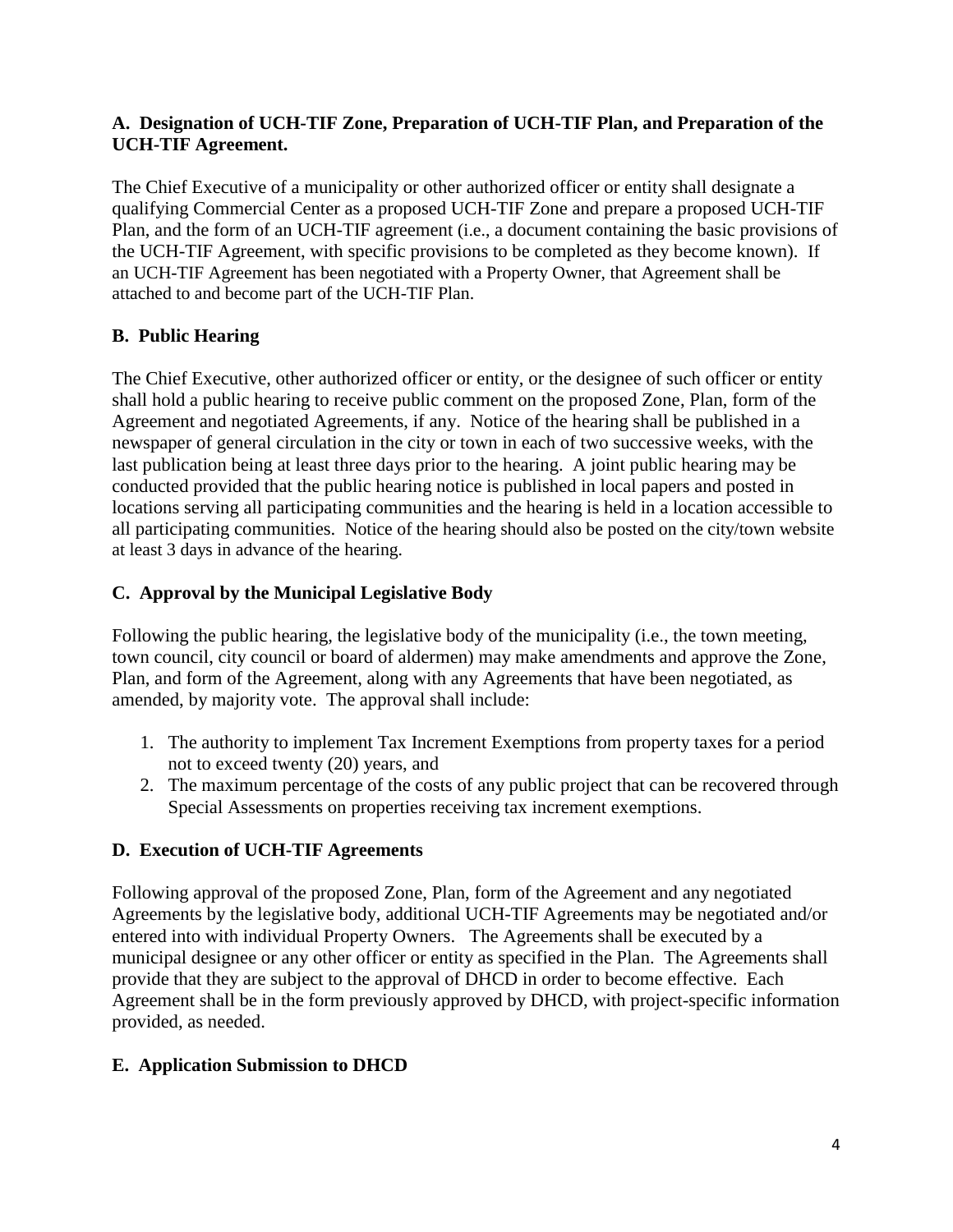#### **A. Designation of UCH-TIF Zone, Preparation of UCH-TIF Plan, and Preparation of the UCH-TIF Agreement.**

The Chief Executive of a municipality or other authorized officer or entity shall designate a qualifying Commercial Center as a proposed UCH-TIF Zone and prepare a proposed UCH-TIF Plan, and the form of an UCH-TIF agreement (i.e., a document containing the basic provisions of the UCH-TIF Agreement, with specific provisions to be completed as they become known). If an UCH-TIF Agreement has been negotiated with a Property Owner, that Agreement shall be attached to and become part of the UCH-TIF Plan.

## **B. Public Hearing**

The Chief Executive, other authorized officer or entity, or the designee of such officer or entity shall hold a public hearing to receive public comment on the proposed Zone, Plan, form of the Agreement and negotiated Agreements, if any. Notice of the hearing shall be published in a newspaper of general circulation in the city or town in each of two successive weeks, with the last publication being at least three days prior to the hearing. A joint public hearing may be conducted provided that the public hearing notice is published in local papers and posted in locations serving all participating communities and the hearing is held in a location accessible to all participating communities. Notice of the hearing should also be posted on the city/town website at least 3 days in advance of the hearing.

## **C. Approval by the Municipal Legislative Body**

Following the public hearing, the legislative body of the municipality (i.e., the town meeting, town council, city council or board of aldermen) may make amendments and approve the Zone, Plan, and form of the Agreement, along with any Agreements that have been negotiated, as amended, by majority vote. The approval shall include:

- 1. The authority to implement Tax Increment Exemptions from property taxes for a period not to exceed twenty (20) years, and
- 2. The maximum percentage of the costs of any public project that can be recovered through Special Assessments on properties receiving tax increment exemptions.

## **D. Execution of UCH-TIF Agreements**

Following approval of the proposed Zone, Plan, form of the Agreement and any negotiated Agreements by the legislative body, additional UCH-TIF Agreements may be negotiated and/or entered into with individual Property Owners. The Agreements shall be executed by a municipal designee or any other officer or entity as specified in the Plan. The Agreements shall provide that they are subject to the approval of DHCD in order to become effective. Each Agreement shall be in the form previously approved by DHCD, with project-specific information provided, as needed.

## **E. Application Submission to DHCD**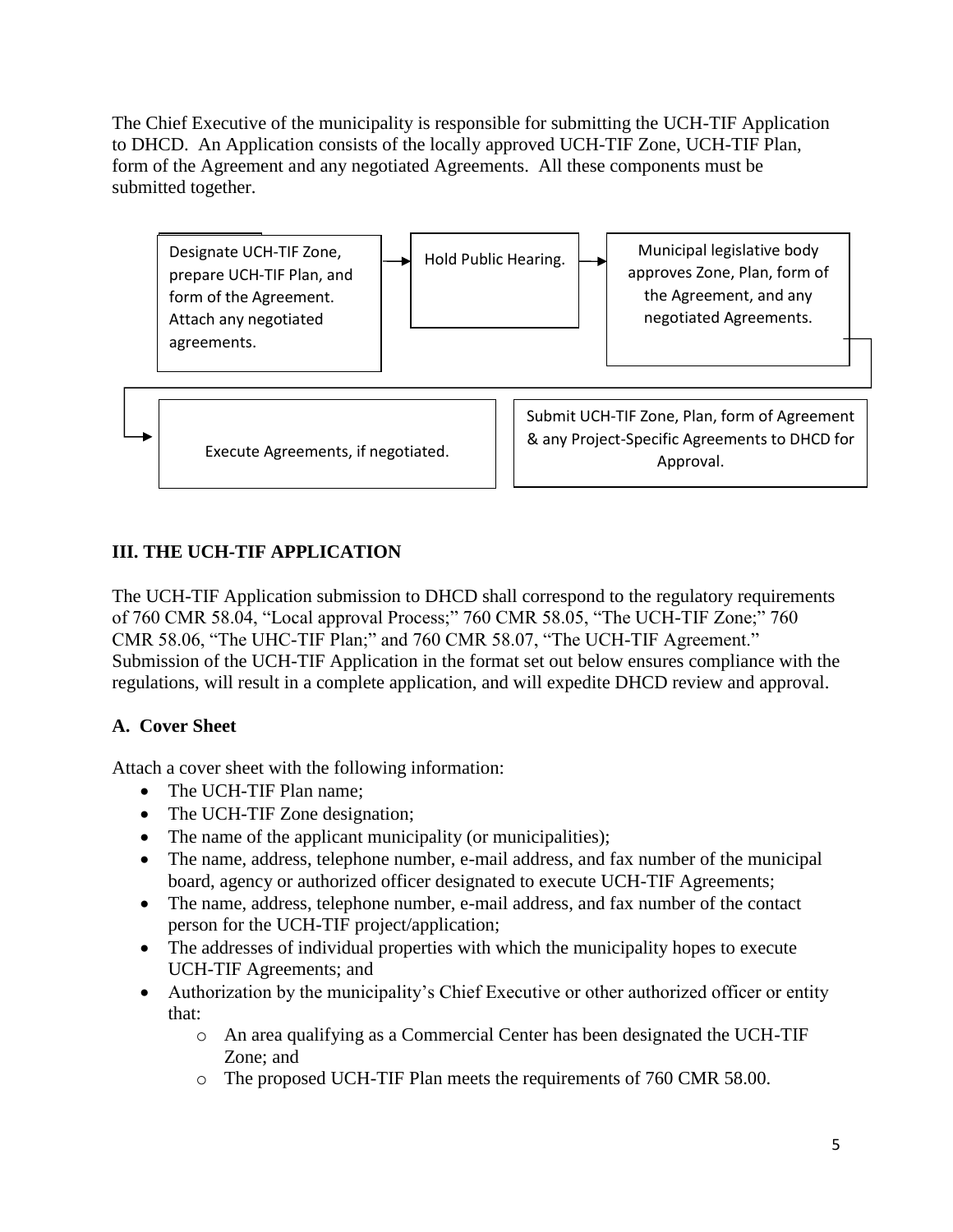The Chief Executive of the municipality is responsible for submitting the UCH-TIF Application to DHCD. An Application consists of the locally approved UCH-TIF Zone, UCH-TIF Plan, form of the Agreement and any negotiated Agreements. All these components must be submitted together.



## **III. THE UCH-TIF APPLICATION**

The UCH-TIF Application submission to DHCD shall correspond to the regulatory requirements of 760 CMR 58.04, "Local approval Process;" 760 CMR 58.05, "The UCH-TIF Zone;" 760 CMR 58.06, "The UHC-TIF Plan;" and 760 CMR 58.07, "The UCH-TIF Agreement." Submission of the UCH-TIF Application in the format set out below ensures compliance with the regulations, will result in a complete application, and will expedite DHCD review and approval.

## **A. Cover Sheet**

Attach a cover sheet with the following information:

- The UCH-TIF Plan name;
- The UCH-TIF Zone designation;
- The name of the applicant municipality (or municipalities);
- The name, address, telephone number, e-mail address, and fax number of the municipal board, agency or authorized officer designated to execute UCH-TIF Agreements;
- The name, address, telephone number, e-mail address, and fax number of the contact person for the UCH-TIF project/application;
- The addresses of individual properties with which the municipality hopes to execute UCH-TIF Agreements; and
- Authorization by the municipality's Chief Executive or other authorized officer or entity that:
	- o An area qualifying as a Commercial Center has been designated the UCH-TIF Zone; and
	- o The proposed UCH-TIF Plan meets the requirements of 760 CMR 58.00.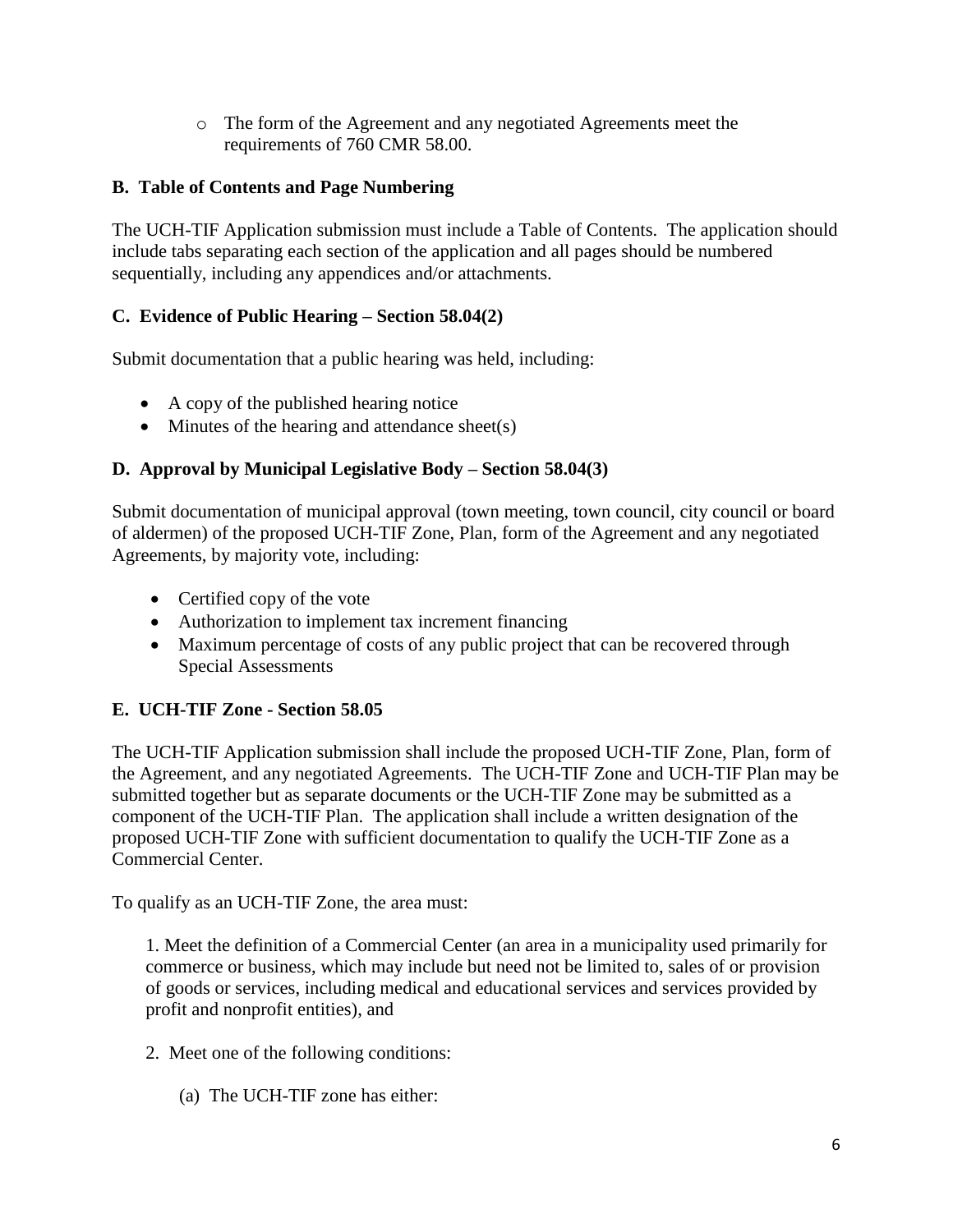o The form of the Agreement and any negotiated Agreements meet the requirements of 760 CMR 58.00.

#### **B. Table of Contents and Page Numbering**

The UCH-TIF Application submission must include a Table of Contents. The application should include tabs separating each section of the application and all pages should be numbered sequentially, including any appendices and/or attachments.

### **C. Evidence of Public Hearing – Section 58.04(2)**

Submit documentation that a public hearing was held, including:

- A copy of the published hearing notice
- $\bullet$  Minutes of the hearing and attendance sheet(s)

#### **D. Approval by Municipal Legislative Body – Section 58.04(3)**

Submit documentation of municipal approval (town meeting, town council, city council or board of aldermen) of the proposed UCH-TIF Zone, Plan, form of the Agreement and any negotiated Agreements, by majority vote, including:

- Certified copy of the vote
- Authorization to implement tax increment financing
- Maximum percentage of costs of any public project that can be recovered through Special Assessments

#### **E. UCH-TIF Zone - Section 58.05**

The UCH-TIF Application submission shall include the proposed UCH-TIF Zone, Plan, form of the Agreement, and any negotiated Agreements. The UCH-TIF Zone and UCH-TIF Plan may be submitted together but as separate documents or the UCH-TIF Zone may be submitted as a component of the UCH-TIF Plan. The application shall include a written designation of the proposed UCH-TIF Zone with sufficient documentation to qualify the UCH-TIF Zone as a Commercial Center.

To qualify as an UCH-TIF Zone, the area must:

1. Meet the definition of a Commercial Center (an area in a municipality used primarily for commerce or business, which may include but need not be limited to, sales of or provision of goods or services, including medical and educational services and services provided by profit and nonprofit entities), and

- 2. Meet one of the following conditions:
	- (a) The UCH-TIF zone has either: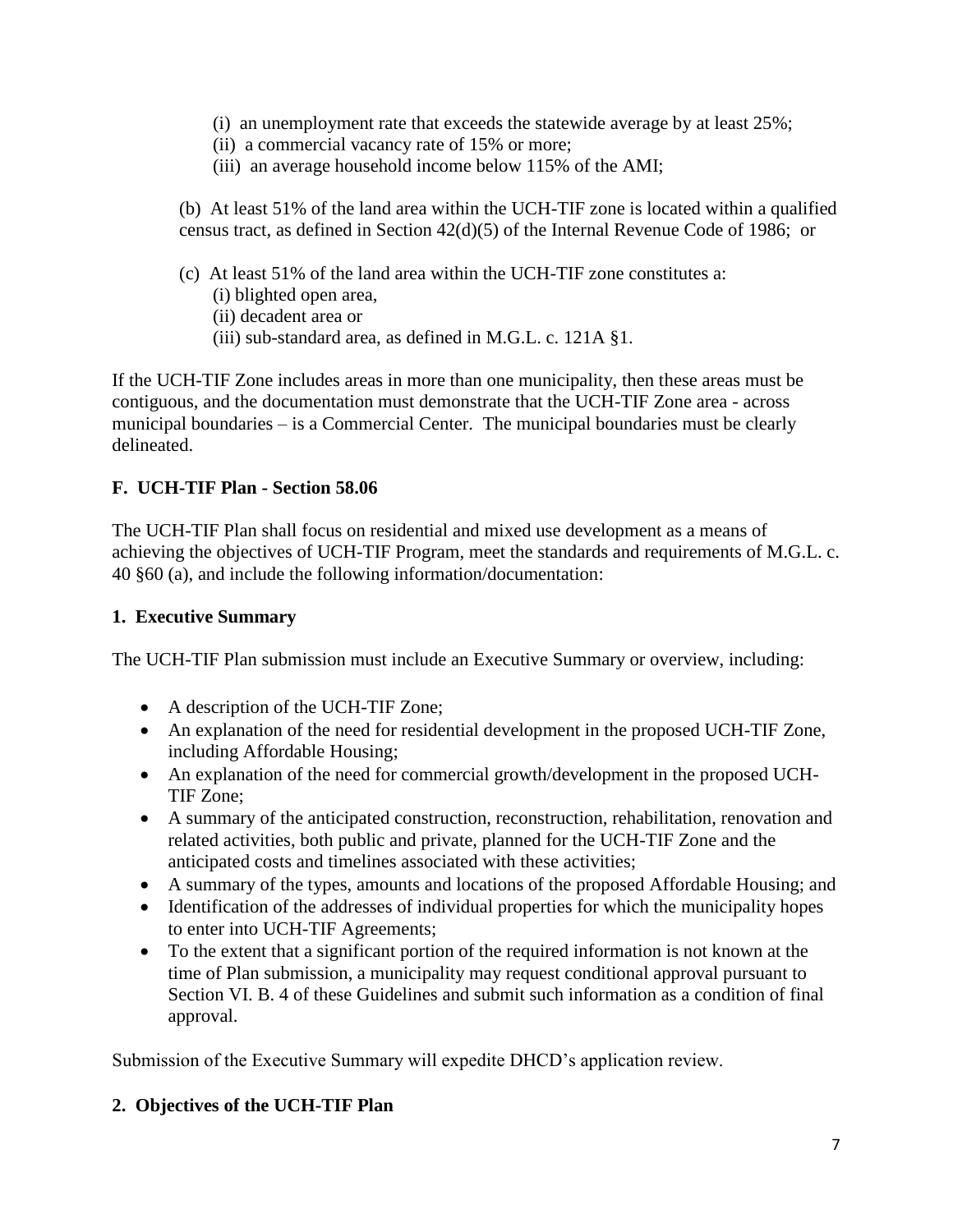- (i) an unemployment rate that exceeds the statewide average by at least 25%;
- (ii) a commercial vacancy rate of 15% or more;
- (iii) an average household income below 115% of the AMI;

(b) At least 51% of the land area within the UCH-TIF zone is located within a qualified census tract, as defined in Section 42(d)(5) of the Internal Revenue Code of 1986; or

- (c) At least 51% of the land area within the UCH-TIF zone constitutes a:
	- (i) blighted open area,
	- (ii) decadent area or
	- (iii) sub-standard area, as defined in M.G.L. c. 121A §1.

If the UCH-TIF Zone includes areas in more than one municipality, then these areas must be contiguous, and the documentation must demonstrate that the UCH-TIF Zone area - across municipal boundaries – is a Commercial Center. The municipal boundaries must be clearly delineated.

#### **F. UCH-TIF Plan - Section 58.06**

The UCH-TIF Plan shall focus on residential and mixed use development as a means of achieving the objectives of UCH-TIF Program, meet the standards and requirements of M.G.L. c. 40 §60 (a), and include the following information/documentation:

#### **1. Executive Summary**

The UCH-TIF Plan submission must include an Executive Summary or overview, including:

- A description of the UCH-TIF Zone;
- An explanation of the need for residential development in the proposed UCH-TIF Zone, including Affordable Housing;
- An explanation of the need for commercial growth/development in the proposed UCH-TIF Zone;
- A summary of the anticipated construction, reconstruction, rehabilitation, renovation and related activities, both public and private, planned for the UCH-TIF Zone and the anticipated costs and timelines associated with these activities;
- A summary of the types, amounts and locations of the proposed Affordable Housing; and
- Identification of the addresses of individual properties for which the municipality hopes to enter into UCH-TIF Agreements;
- To the extent that a significant portion of the required information is not known at the time of Plan submission, a municipality may request conditional approval pursuant to Section VI. B. 4 of these Guidelines and submit such information as a condition of final approval.

Submission of the Executive Summary will expedite DHCD's application review.

#### **2. Objectives of the UCH-TIF Plan**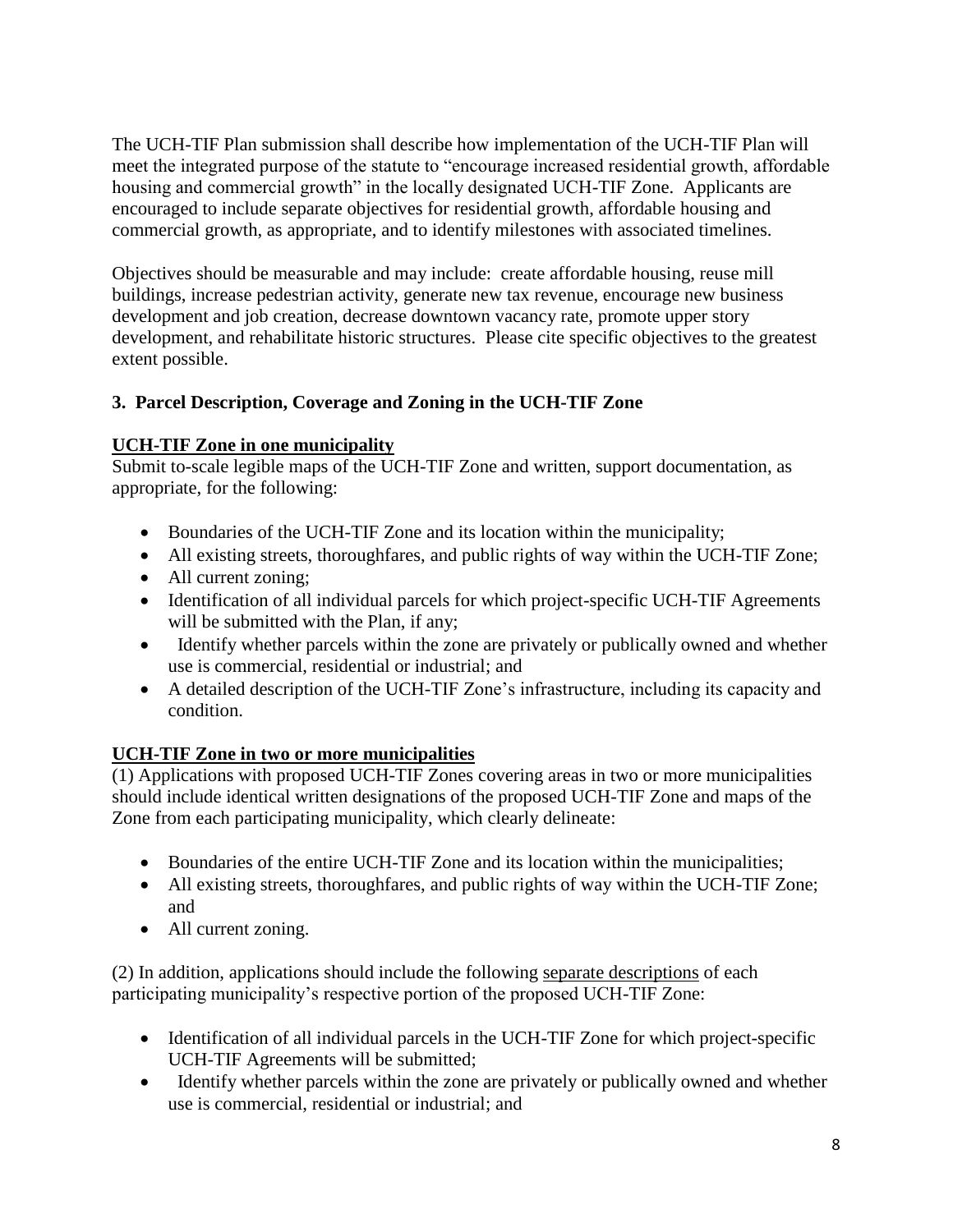The UCH-TIF Plan submission shall describe how implementation of the UCH-TIF Plan will meet the integrated purpose of the statute to "encourage increased residential growth, affordable housing and commercial growth" in the locally designated UCH-TIF Zone. Applicants are encouraged to include separate objectives for residential growth, affordable housing and commercial growth, as appropriate, and to identify milestones with associated timelines.

Objectives should be measurable and may include: create affordable housing, reuse mill buildings, increase pedestrian activity, generate new tax revenue, encourage new business development and job creation, decrease downtown vacancy rate, promote upper story development, and rehabilitate historic structures. Please cite specific objectives to the greatest extent possible.

## **3. Parcel Description, Coverage and Zoning in the UCH-TIF Zone**

### **UCH-TIF Zone in one municipality**

Submit to-scale legible maps of the UCH-TIF Zone and written, support documentation, as appropriate, for the following:

- Boundaries of the UCH-TIF Zone and its location within the municipality;
- All existing streets, thoroughfares, and public rights of way within the UCH-TIF Zone;
- All current zoning;
- Identification of all individual parcels for which project-specific UCH-TIF Agreements will be submitted with the Plan, if any;
- Identify whether parcels within the zone are privately or publically owned and whether use is commercial, residential or industrial; and
- A detailed description of the UCH-TIF Zone's infrastructure, including its capacity and condition.

#### **UCH-TIF Zone in two or more municipalities**

(1) Applications with proposed UCH-TIF Zones covering areas in two or more municipalities should include identical written designations of the proposed UCH-TIF Zone and maps of the Zone from each participating municipality, which clearly delineate:

- Boundaries of the entire UCH-TIF Zone and its location within the municipalities;
- All existing streets, thoroughfares, and public rights of way within the UCH-TIF Zone; and
- All current zoning.

(2) In addition, applications should include the following separate descriptions of each participating municipality's respective portion of the proposed UCH-TIF Zone:

- Identification of all individual parcels in the UCH-TIF Zone for which project-specific UCH-TIF Agreements will be submitted;
- Identify whether parcels within the zone are privately or publically owned and whether use is commercial, residential or industrial; and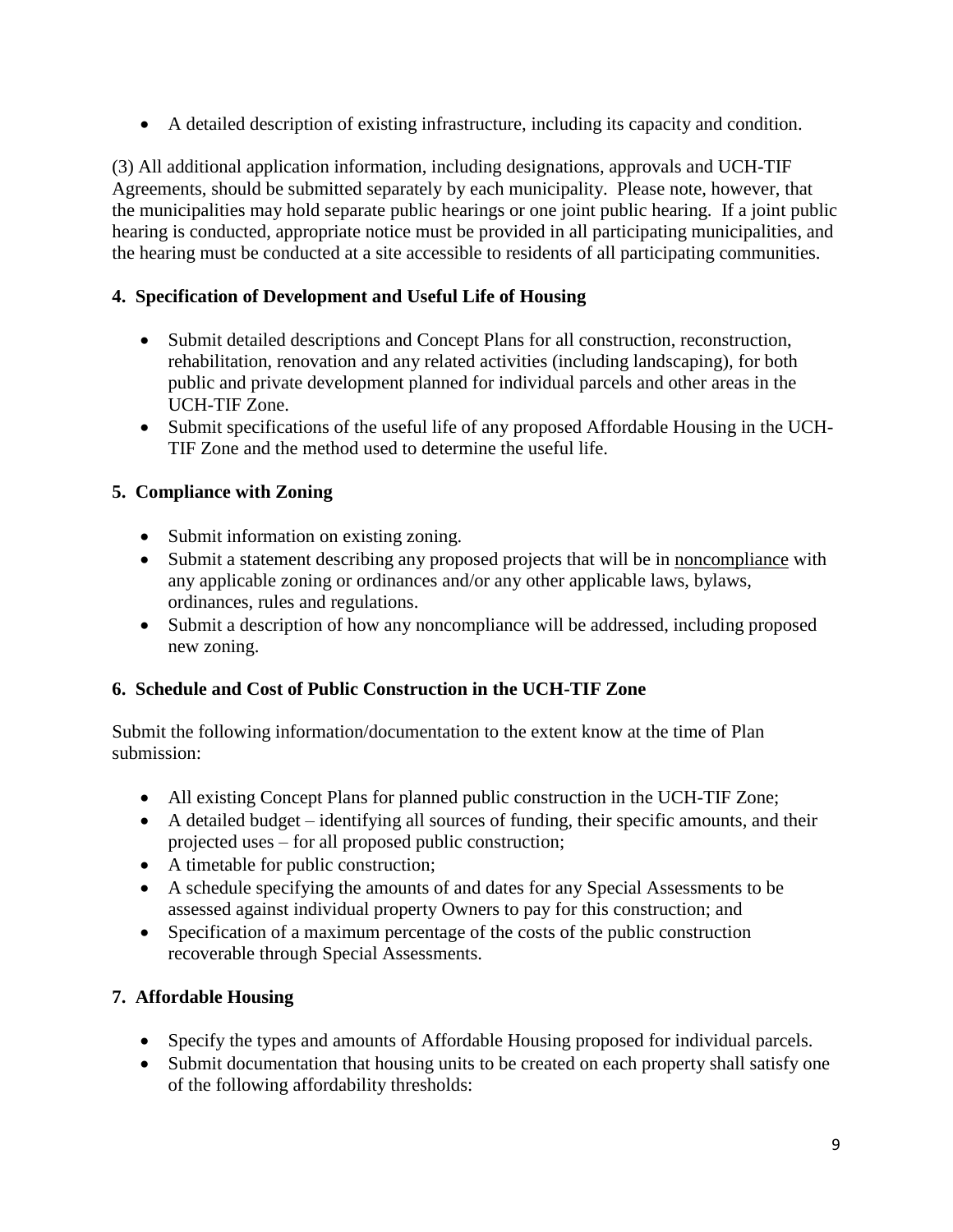A detailed description of existing infrastructure, including its capacity and condition.

(3) All additional application information, including designations, approvals and UCH-TIF Agreements, should be submitted separately by each municipality. Please note, however, that the municipalities may hold separate public hearings or one joint public hearing. If a joint public hearing is conducted, appropriate notice must be provided in all participating municipalities, and the hearing must be conducted at a site accessible to residents of all participating communities.

## **4. Specification of Development and Useful Life of Housing**

- Submit detailed descriptions and Concept Plans for all construction, reconstruction, rehabilitation, renovation and any related activities (including landscaping), for both public and private development planned for individual parcels and other areas in the UCH-TIF Zone.
- Submit specifications of the useful life of any proposed Affordable Housing in the UCH-TIF Zone and the method used to determine the useful life.

## **5. Compliance with Zoning**

- Submit information on existing zoning.
- Submit a statement describing any proposed projects that will be in noncompliance with any applicable zoning or ordinances and/or any other applicable laws, bylaws, ordinances, rules and regulations.
- Submit a description of how any noncompliance will be addressed, including proposed new zoning.

## **6. Schedule and Cost of Public Construction in the UCH-TIF Zone**

Submit the following information/documentation to the extent know at the time of Plan submission:

- All existing Concept Plans for planned public construction in the UCH-TIF Zone;
- A detailed budget identifying all sources of funding, their specific amounts, and their projected uses – for all proposed public construction;
- A timetable for public construction;
- A schedule specifying the amounts of and dates for any Special Assessments to be assessed against individual property Owners to pay for this construction; and
- Specification of a maximum percentage of the costs of the public construction recoverable through Special Assessments.

## **7. Affordable Housing**

- Specify the types and amounts of Affordable Housing proposed for individual parcels.
- Submit documentation that housing units to be created on each property shall satisfy one of the following affordability thresholds: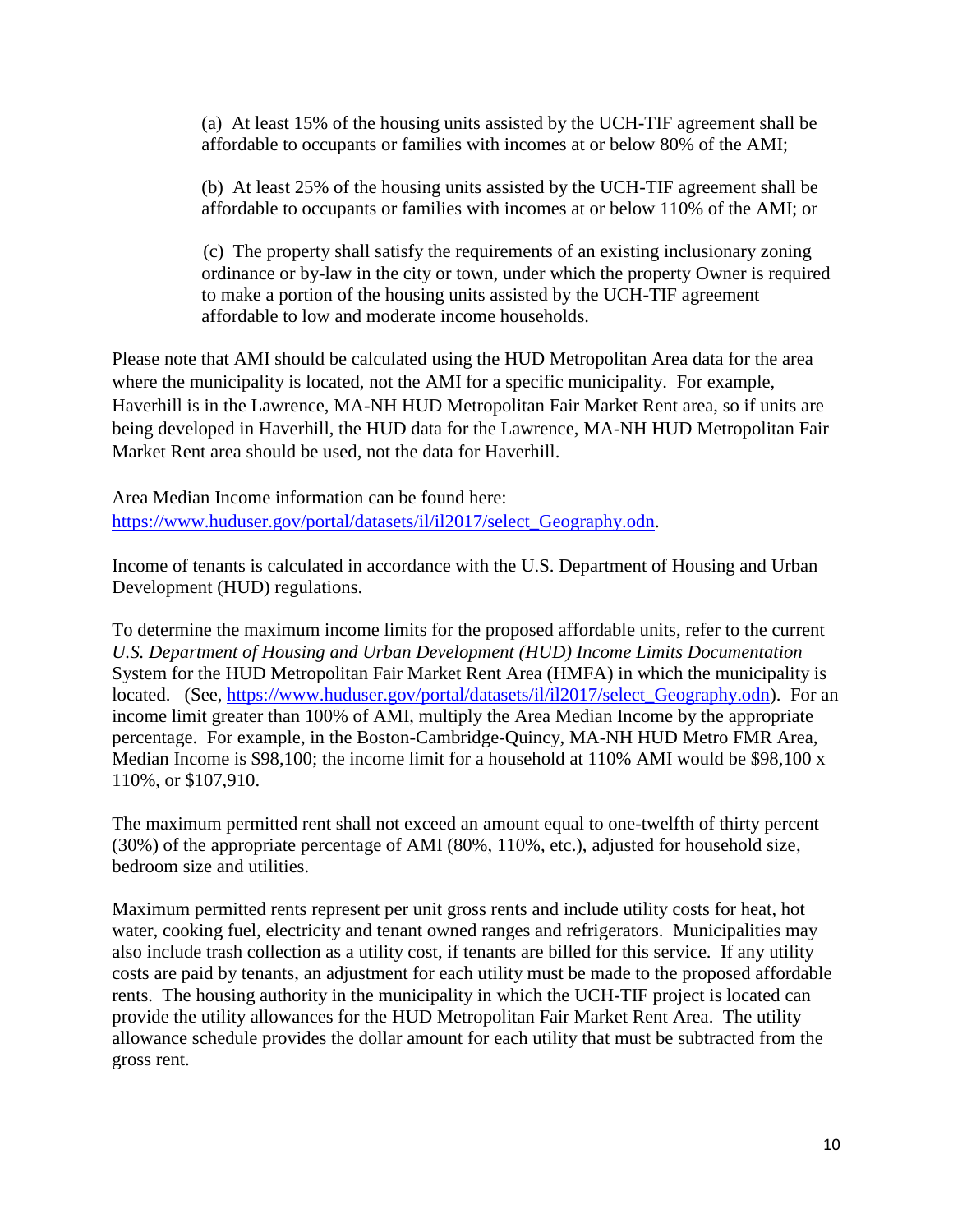(a) At least 15% of the housing units assisted by the UCH-TIF agreement shall be affordable to occupants or families with incomes at or below 80% of the AMI;

(b) At least 25% of the housing units assisted by the UCH-TIF agreement shall be affordable to occupants or families with incomes at or below 110% of the AMI; or

(c) The property shall satisfy the requirements of an existing inclusionary zoning ordinance or by-law in the city or town, under which the property Owner is required to make a portion of the housing units assisted by the UCH-TIF agreement affordable to low and moderate income households.

Please note that AMI should be calculated using the HUD Metropolitan Area data for the area where the municipality is located, not the AMI for a specific municipality. For example, Haverhill is in the Lawrence, MA-NH HUD Metropolitan Fair Market Rent area, so if units are being developed in Haverhill, the HUD data for the Lawrence, MA-NH HUD Metropolitan Fair Market Rent area should be used, not the data for Haverhill.

Area Median Income information can be found here: [https://www.huduser.gov/portal/datasets/il/il2017/select\\_Geography.odn.](https://www.huduser.gov/portal/datasets/il/il2017/select_Geography.odn)

Income of tenants is calculated in accordance with the U.S. Department of Housing and Urban Development (HUD) regulations.

To determine the maximum income limits for the proposed affordable units, refer to the current *U.S. Department of Housing and Urban Development (HUD) Income Limits Documentation*  System for the HUD Metropolitan Fair Market Rent Area (HMFA) in which the municipality is located. (See, [https://www.huduser.gov/portal/datasets/il/il2017/select\\_Geography.odn\)](https://www.huduser.gov/portal/datasets/il/il2017/select_Geography.odn). For an income limit greater than 100% of AMI, multiply the Area Median Income by the appropriate percentage. For example, in the Boston-Cambridge-Quincy, MA-NH HUD Metro FMR Area, Median Income is \$98,100; the income limit for a household at 110% AMI would be \$98,100 x 110%, or \$107,910.

The maximum permitted rent shall not exceed an amount equal to one-twelfth of thirty percent (30%) of the appropriate percentage of AMI (80%, 110%, etc.), adjusted for household size, bedroom size and utilities.

Maximum permitted rents represent per unit gross rents and include utility costs for heat, hot water, cooking fuel, electricity and tenant owned ranges and refrigerators. Municipalities may also include trash collection as a utility cost, if tenants are billed for this service. If any utility costs are paid by tenants, an adjustment for each utility must be made to the proposed affordable rents. The housing authority in the municipality in which the UCH-TIF project is located can provide the utility allowances for the HUD Metropolitan Fair Market Rent Area. The utility allowance schedule provides the dollar amount for each utility that must be subtracted from the gross rent.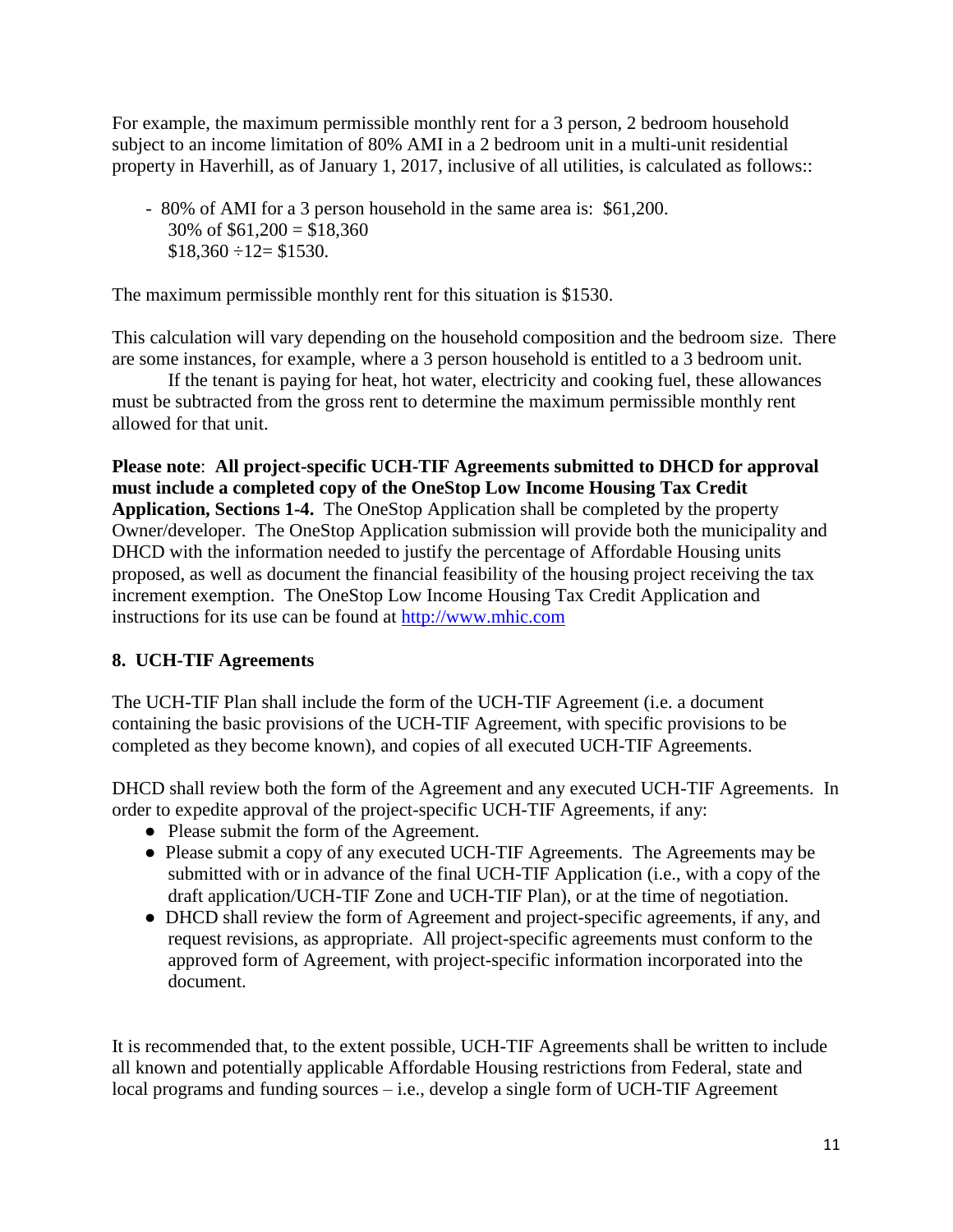For example, the maximum permissible monthly rent for a 3 person, 2 bedroom household subject to an income limitation of 80% AMI in a 2 bedroom unit in a multi-unit residential property in Haverhill, as of January 1, 2017, inclusive of all utilities, is calculated as follows::

- 80% of AMI for a 3 person household in the same area is: \$61,200. 30% of  $$61,200 = $18,360$  $$18,360 \div 12 = $1530.$ 

The maximum permissible monthly rent for this situation is \$1530.

This calculation will vary depending on the household composition and the bedroom size. There are some instances, for example, where a 3 person household is entitled to a 3 bedroom unit.

If the tenant is paying for heat, hot water, electricity and cooking fuel, these allowances must be subtracted from the gross rent to determine the maximum permissible monthly rent allowed for that unit.

**Please note**: **All project-specific UCH-TIF Agreements submitted to DHCD for approval must include a completed copy of the OneStop Low Income Housing Tax Credit Application, Sections 1-4.** The OneStop Application shall be completed by the property Owner/developer. The OneStop Application submission will provide both the municipality and DHCD with the information needed to justify the percentage of Affordable Housing units proposed, as well as document the financial feasibility of the housing project receiving the tax increment exemption. The OneStop Low Income Housing Tax Credit Application and instructions for its use can be found at [http://www.mhic.com](http://www.mhic.com/) 

## **8. UCH-TIF Agreements**

The UCH-TIF Plan shall include the form of the UCH-TIF Agreement (i.e. a document containing the basic provisions of the UCH-TIF Agreement, with specific provisions to be completed as they become known), and copies of all executed UCH-TIF Agreements.

DHCD shall review both the form of the Agreement and any executed UCH-TIF Agreements. In order to expedite approval of the project-specific UCH-TIF Agreements, if any:

- Please submit the form of the Agreement.
- Please submit a copy of any executed UCH-TIF Agreements. The Agreements may be submitted with or in advance of the final UCH-TIF Application (i.e., with a copy of the draft application/UCH-TIF Zone and UCH-TIF Plan), or at the time of negotiation.
- DHCD shall review the form of Agreement and project-specific agreements, if any, and request revisions, as appropriate. All project-specific agreements must conform to the approved form of Agreement, with project-specific information incorporated into the document.

It is recommended that, to the extent possible, UCH-TIF Agreements shall be written to include all known and potentially applicable Affordable Housing restrictions from Federal, state and local programs and funding sources – i.e., develop a single form of UCH-TIF Agreement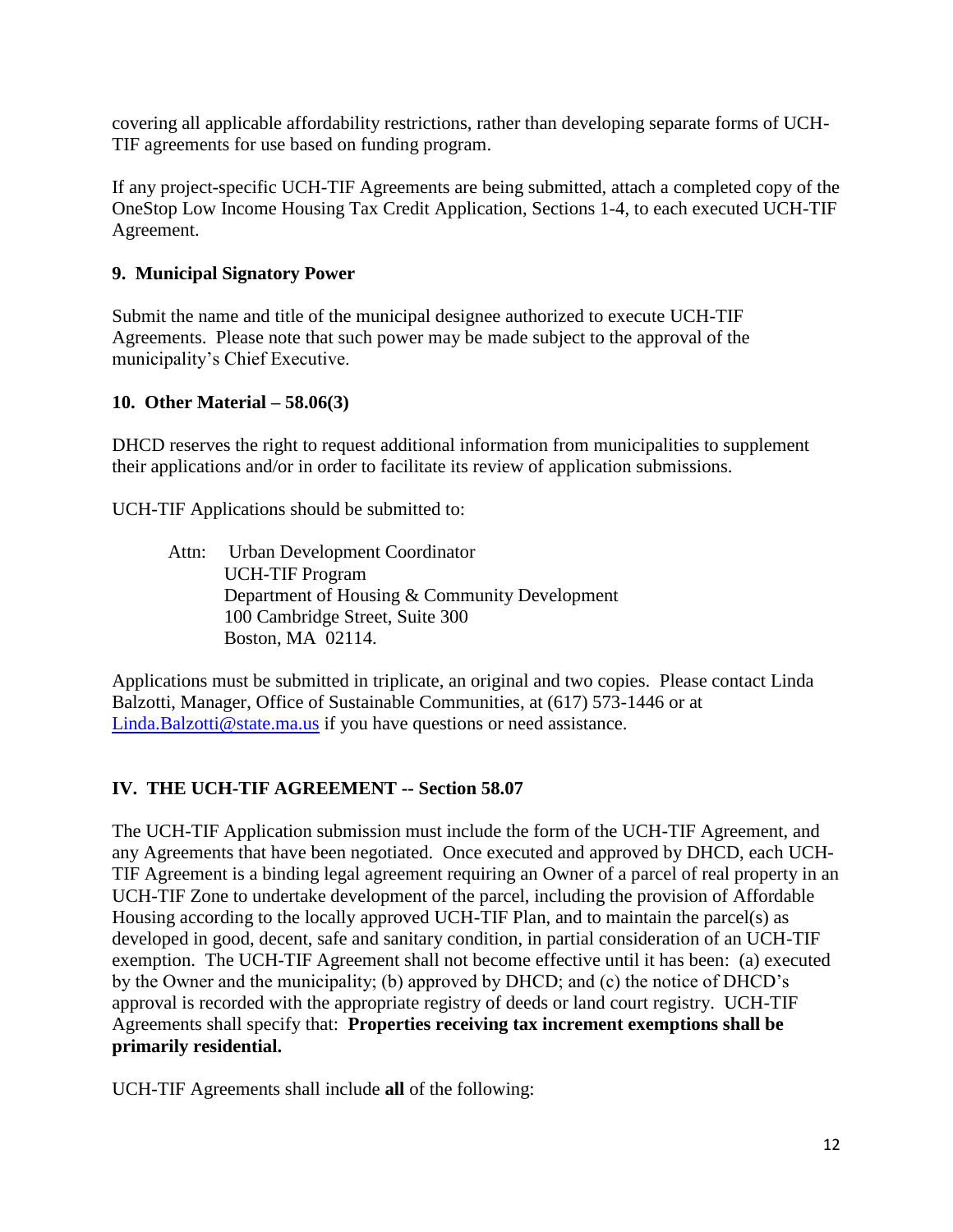covering all applicable affordability restrictions, rather than developing separate forms of UCH-TIF agreements for use based on funding program.

If any project-specific UCH-TIF Agreements are being submitted, attach a completed copy of the OneStop Low Income Housing Tax Credit Application, Sections 1-4, to each executed UCH-TIF Agreement.

#### **9. Municipal Signatory Power**

Submit the name and title of the municipal designee authorized to execute UCH-TIF Agreements. Please note that such power may be made subject to the approval of the municipality's Chief Executive.

### **10. Other Material – 58.06(3)**

DHCD reserves the right to request additional information from municipalities to supplement their applications and/or in order to facilitate its review of application submissions.

UCH-TIF Applications should be submitted to:

Attn: Urban Development Coordinator UCH-TIF Program Department of Housing & Community Development 100 Cambridge Street, Suite 300 Boston, MA 02114.

Applications must be submitted in triplicate, an original and two copies. Please contact Linda Balzotti, Manager, Office of Sustainable Communities, at (617) 573-1446 or at [Linda.Balzotti@state.ma.us](mailto:Linda.Balzotti@state.ma.us) if you have questions or need assistance.

## **IV. THE UCH-TIF AGREEMENT -- Section 58.07**

The UCH-TIF Application submission must include the form of the UCH-TIF Agreement, and any Agreements that have been negotiated. Once executed and approved by DHCD, each UCH-TIF Agreement is a binding legal agreement requiring an Owner of a parcel of real property in an UCH-TIF Zone to undertake development of the parcel, including the provision of Affordable Housing according to the locally approved UCH-TIF Plan, and to maintain the parcel(s) as developed in good, decent, safe and sanitary condition, in partial consideration of an UCH-TIF exemption. The UCH-TIF Agreement shall not become effective until it has been: (a) executed by the Owner and the municipality; (b) approved by DHCD; and (c) the notice of DHCD's approval is recorded with the appropriate registry of deeds or land court registry. UCH-TIF Agreements shall specify that: **Properties receiving tax increment exemptions shall be primarily residential.** 

UCH-TIF Agreements shall include **all** of the following: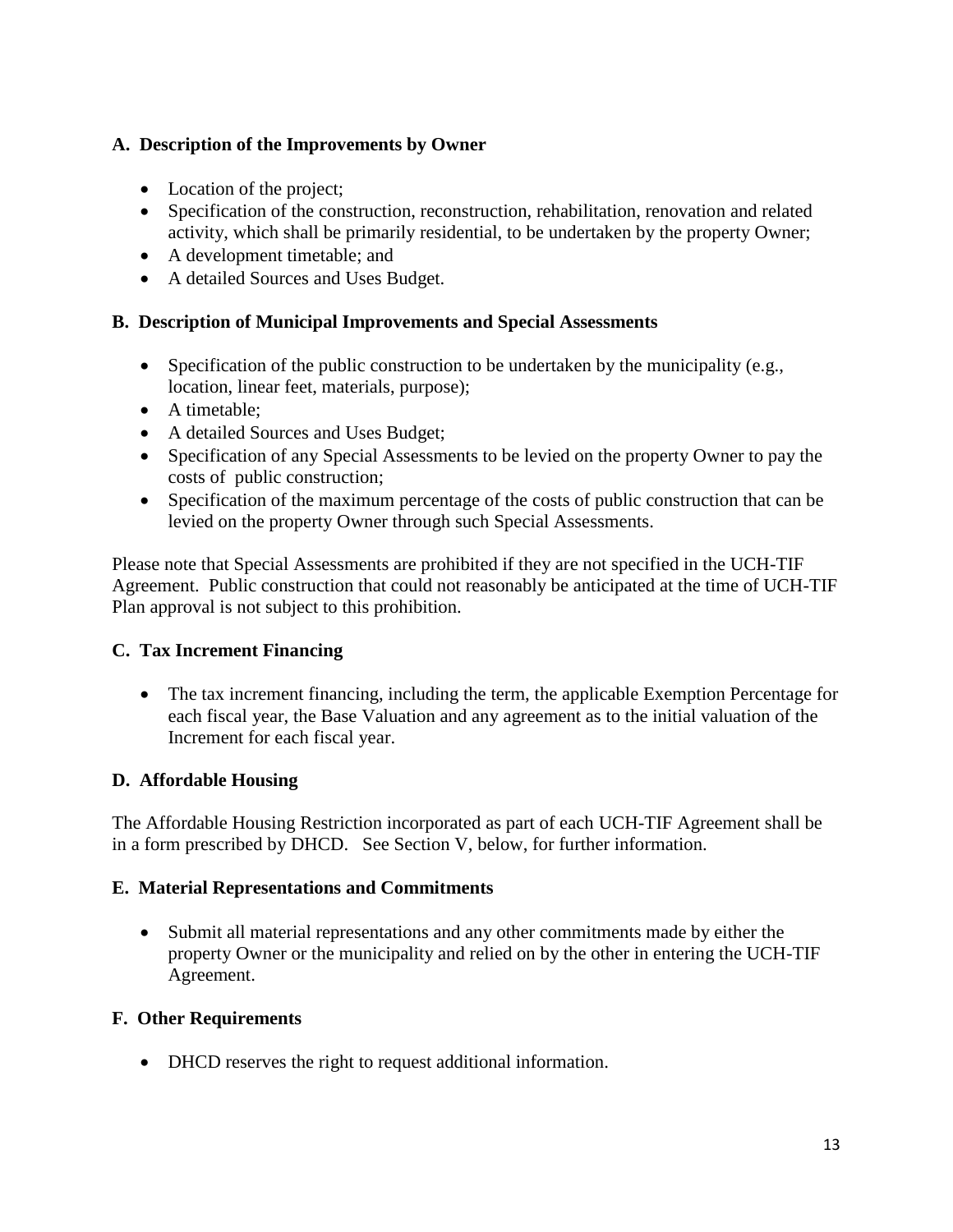### **A. Description of the Improvements by Owner**

- Location of the project;
- Specification of the construction, reconstruction, rehabilitation, renovation and related activity, which shall be primarily residential, to be undertaken by the property Owner;
- A development timetable; and
- A detailed Sources and Uses Budget.

### **B. Description of Municipal Improvements and Special Assessments**

- Specification of the public construction to be undertaken by the municipality (e.g., location, linear feet, materials, purpose);
- A timetable;
- A detailed Sources and Uses Budget;
- Specification of any Special Assessments to be levied on the property Owner to pay the costs of public construction;
- Specification of the maximum percentage of the costs of public construction that can be levied on the property Owner through such Special Assessments.

Please note that Special Assessments are prohibited if they are not specified in the UCH-TIF Agreement. Public construction that could not reasonably be anticipated at the time of UCH-TIF Plan approval is not subject to this prohibition.

## **C. Tax Increment Financing**

 The tax increment financing, including the term, the applicable Exemption Percentage for each fiscal year, the Base Valuation and any agreement as to the initial valuation of the Increment for each fiscal year.

## **D. Affordable Housing**

The Affordable Housing Restriction incorporated as part of each UCH-TIF Agreement shall be in a form prescribed by DHCD. See Section V, below, for further information.

#### **E. Material Representations and Commitments**

 Submit all material representations and any other commitments made by either the property Owner or the municipality and relied on by the other in entering the UCH-TIF Agreement.

#### **F. Other Requirements**

DHCD reserves the right to request additional information.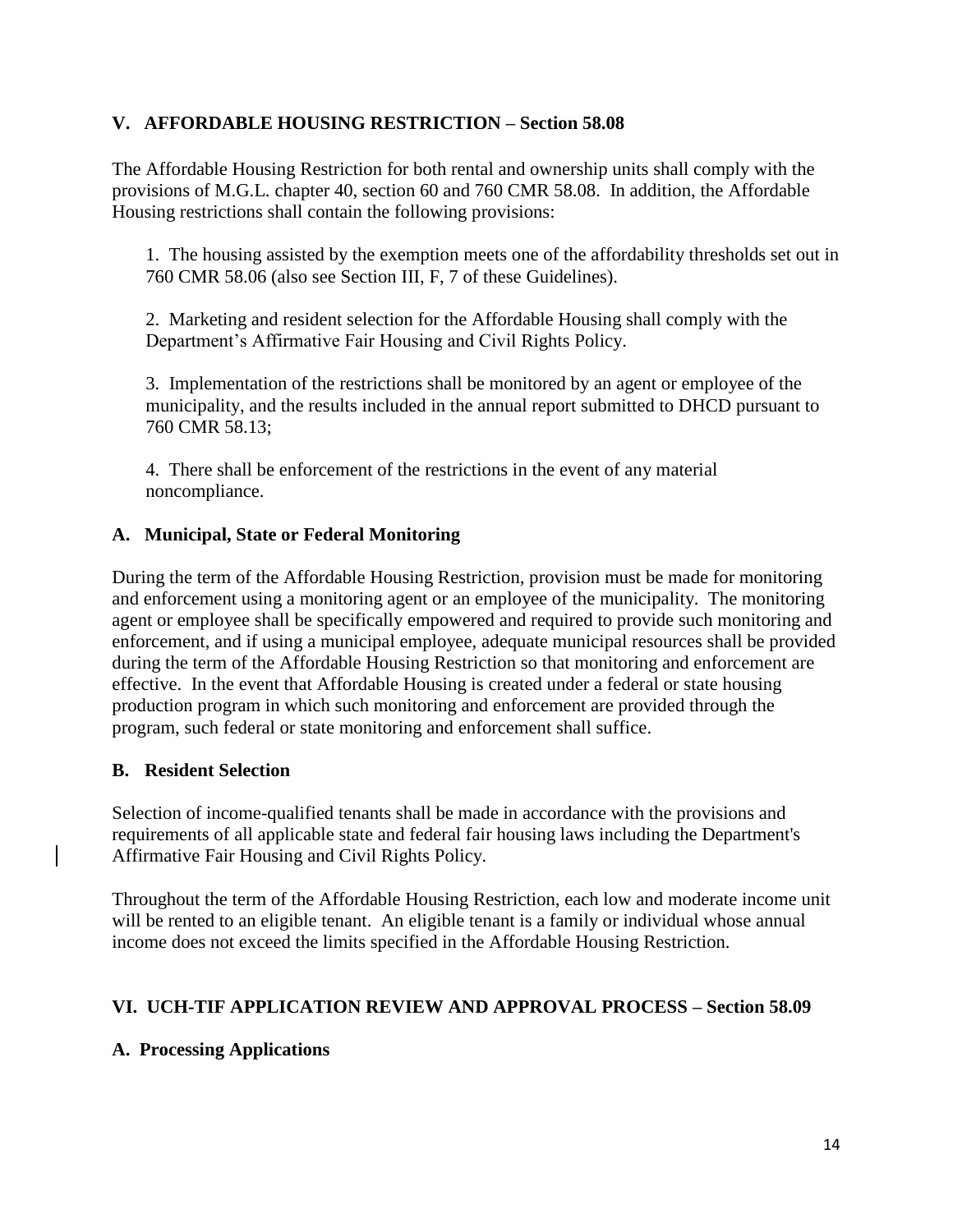#### **V. AFFORDABLE HOUSING RESTRICTION – Section 58.08**

The Affordable Housing Restriction for both rental and ownership units shall comply with the provisions of M.G.L. chapter 40, section 60 and 760 CMR 58.08. In addition, the Affordable Housing restrictions shall contain the following provisions:

1. The housing assisted by the exemption meets one of the affordability thresholds set out in 760 CMR 58.06 (also see Section III, F, 7 of these Guidelines).

2. Marketing and resident selection for the Affordable Housing shall comply with the Department's Affirmative Fair Housing and Civil Rights Policy.

3. Implementation of the restrictions shall be monitored by an agent or employee of the municipality, and the results included in the annual report submitted to DHCD pursuant to 760 CMR 58.13;

4. There shall be enforcement of the restrictions in the event of any material noncompliance.

#### **A. Municipal, State or Federal Monitoring**

During the term of the Affordable Housing Restriction, provision must be made for monitoring and enforcement using a monitoring agent or an employee of the municipality. The monitoring agent or employee shall be specifically empowered and required to provide such monitoring and enforcement, and if using a municipal employee, adequate municipal resources shall be provided during the term of the Affordable Housing Restriction so that monitoring and enforcement are effective. In the event that Affordable Housing is created under a federal or state housing production program in which such monitoring and enforcement are provided through the program, such federal or state monitoring and enforcement shall suffice.

#### **B. Resident Selection**

Selection of income-qualified tenants shall be made in accordance with the provisions and requirements of all applicable state and federal fair housing laws including the Department's Affirmative Fair Housing and Civil Rights Policy.

Throughout the term of the Affordable Housing Restriction, each low and moderate income unit will be rented to an eligible tenant. An eligible tenant is a family or individual whose annual income does not exceed the limits specified in the Affordable Housing Restriction.

#### **VI. UCH-TIF APPLICATION REVIEW AND APPROVAL PROCESS – Section 58.09**

#### **A. Processing Applications**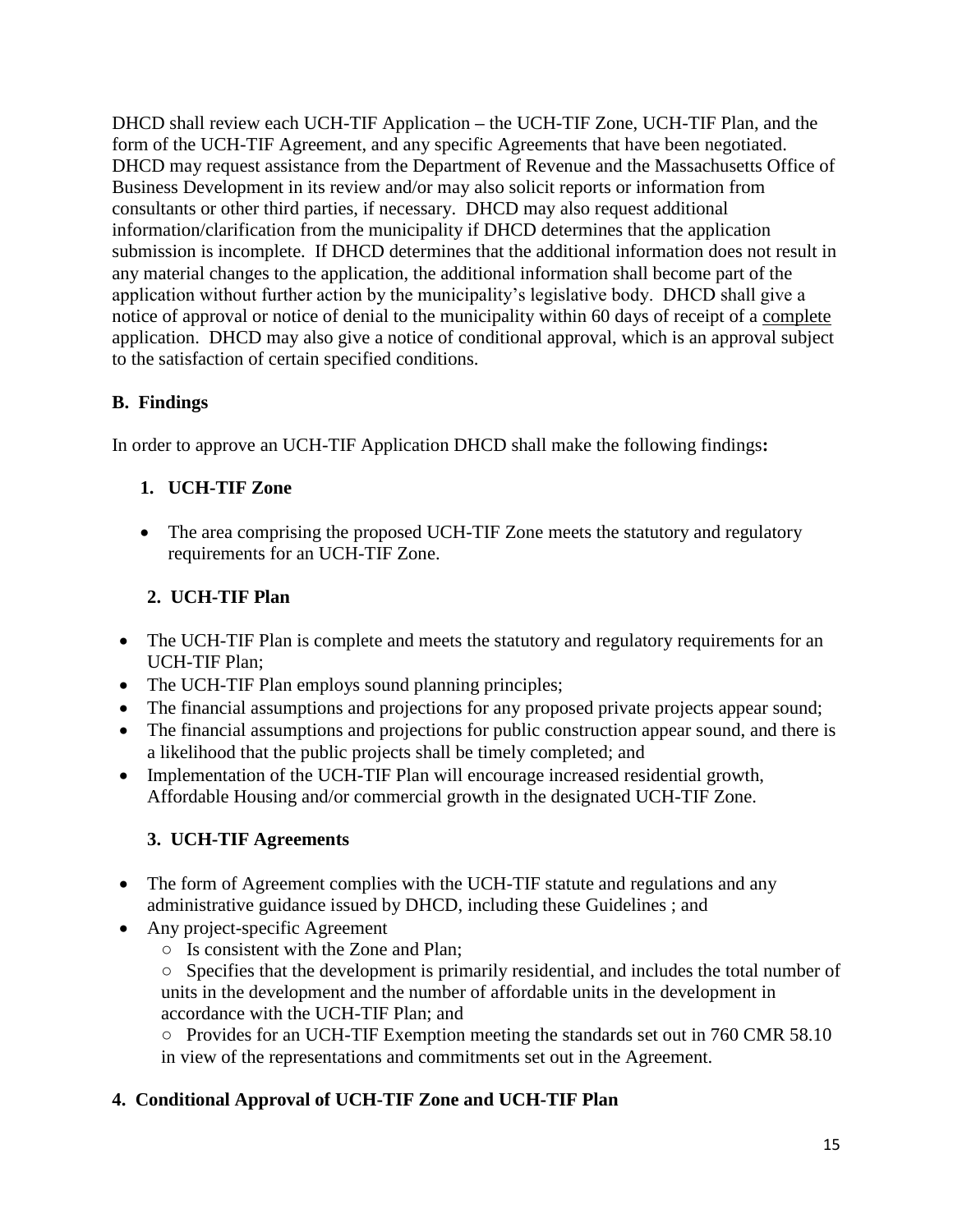DHCD shall review each UCH-TIF Application **–** the UCH-TIF Zone, UCH-TIF Plan, and the form of the UCH-TIF Agreement, and any specific Agreements that have been negotiated. DHCD may request assistance from the Department of Revenue and the Massachusetts Office of Business Development in its review and/or may also solicit reports or information from consultants or other third parties, if necessary. DHCD may also request additional information/clarification from the municipality if DHCD determines that the application submission is incomplete. If DHCD determines that the additional information does not result in any material changes to the application, the additional information shall become part of the application without further action by the municipality's legislative body. DHCD shall give a notice of approval or notice of denial to the municipality within 60 days of receipt of a complete application. DHCD may also give a notice of conditional approval, which is an approval subject to the satisfaction of certain specified conditions.

## **B. Findings**

In order to approve an UCH-TIF Application DHCD shall make the following findings**:**

# **1. UCH-TIF Zone**

• The area comprising the proposed UCH-TIF Zone meets the statutory and regulatory requirements for an UCH-TIF Zone.

# **2. UCH-TIF Plan**

- The UCH-TIF Plan is complete and meets the statutory and regulatory requirements for an UCH-TIF Plan;
- The UCH-TIF Plan employs sound planning principles;
- The financial assumptions and projections for any proposed private projects appear sound;
- The financial assumptions and projections for public construction appear sound, and there is a likelihood that the public projects shall be timely completed; and
- Implementation of the UCH-TIF Plan will encourage increased residential growth, Affordable Housing and/or commercial growth in the designated UCH-TIF Zone.

# **3. UCH-TIF Agreements**

- The form of Agreement complies with the UCH-TIF statute and regulations and any administrative guidance issued by DHCD, including these Guidelines ; and
- Any project-specific Agreement
	- Is consistent with the Zone and Plan;
	- Specifies that the development is primarily residential, and includes the total number of units in the development and the number of affordable units in the development in accordance with the UCH-TIF Plan; and

○ Provides for an UCH-TIF Exemption meeting the standards set out in 760 CMR 58.10 in view of the representations and commitments set out in the Agreement.

# **4. Conditional Approval of UCH-TIF Zone and UCH-TIF Plan**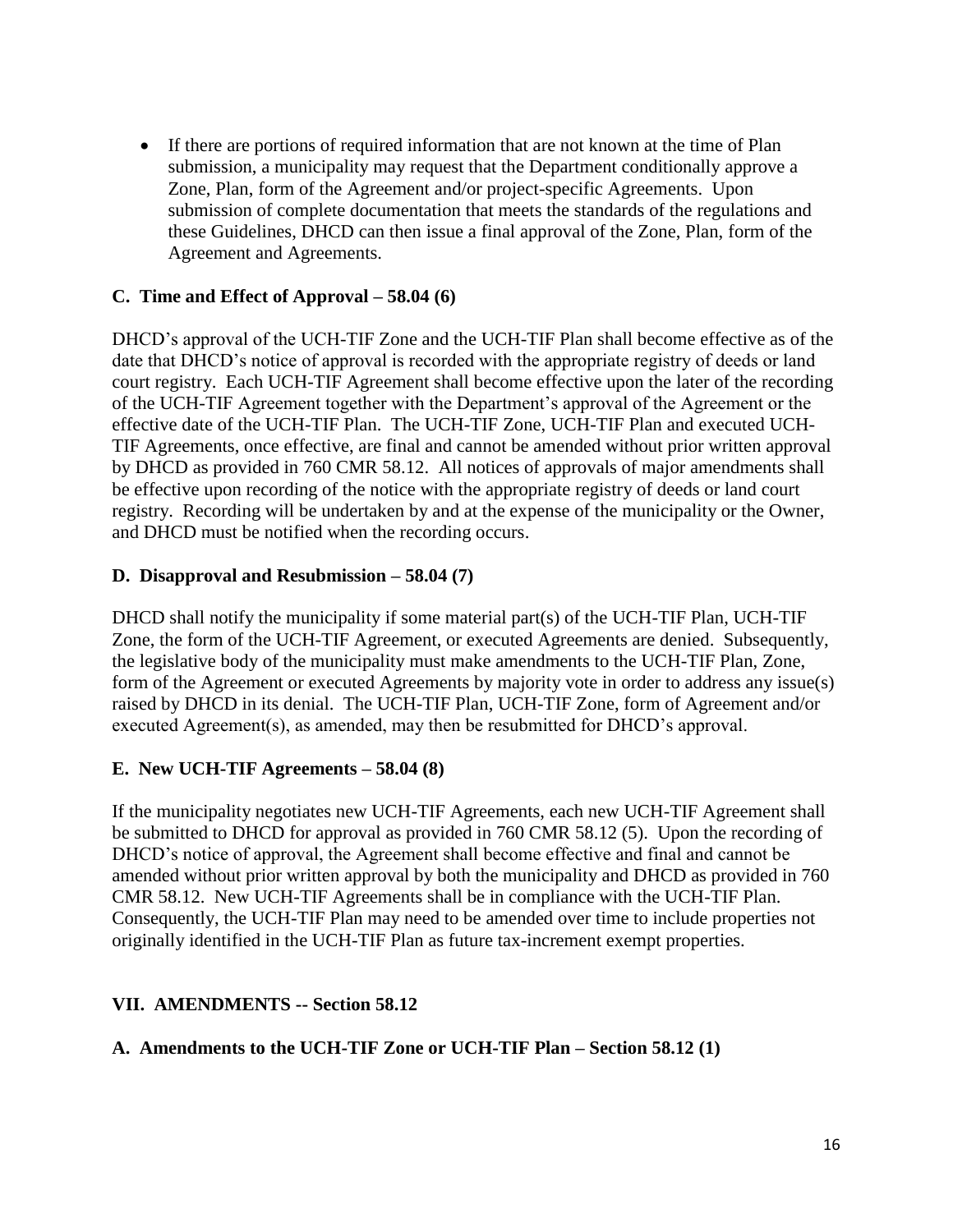If there are portions of required information that are not known at the time of Plan submission, a municipality may request that the Department conditionally approve a Zone, Plan, form of the Agreement and/or project-specific Agreements. Upon submission of complete documentation that meets the standards of the regulations and these Guidelines, DHCD can then issue a final approval of the Zone, Plan, form of the Agreement and Agreements.

#### **C. Time and Effect of Approval – 58.04 (6)**

DHCD's approval of the UCH-TIF Zone and the UCH-TIF Plan shall become effective as of the date that DHCD's notice of approval is recorded with the appropriate registry of deeds or land court registry. Each UCH-TIF Agreement shall become effective upon the later of the recording of the UCH-TIF Agreement together with the Department's approval of the Agreement or the effective date of the UCH-TIF Plan. The UCH-TIF Zone, UCH-TIF Plan and executed UCH-TIF Agreements, once effective, are final and cannot be amended without prior written approval by DHCD as provided in 760 CMR 58.12. All notices of approvals of major amendments shall be effective upon recording of the notice with the appropriate registry of deeds or land court registry. Recording will be undertaken by and at the expense of the municipality or the Owner, and DHCD must be notified when the recording occurs.

#### **D. Disapproval and Resubmission – 58.04 (7)**

DHCD shall notify the municipality if some material part(s) of the UCH-TIF Plan, UCH-TIF Zone, the form of the UCH-TIF Agreement, or executed Agreements are denied. Subsequently, the legislative body of the municipality must make amendments to the UCH-TIF Plan, Zone, form of the Agreement or executed Agreements by majority vote in order to address any issue(s) raised by DHCD in its denial. The UCH-TIF Plan, UCH-TIF Zone, form of Agreement and/or executed Agreement(s), as amended, may then be resubmitted for DHCD's approval.

#### **E. New UCH-TIF Agreements – 58.04 (8)**

If the municipality negotiates new UCH-TIF Agreements, each new UCH-TIF Agreement shall be submitted to DHCD for approval as provided in 760 CMR 58.12 (5). Upon the recording of DHCD's notice of approval, the Agreement shall become effective and final and cannot be amended without prior written approval by both the municipality and DHCD as provided in 760 CMR 58.12. New UCH-TIF Agreements shall be in compliance with the UCH-TIF Plan. Consequently, the UCH-TIF Plan may need to be amended over time to include properties not originally identified in the UCH-TIF Plan as future tax-increment exempt properties.

#### **VII. AMENDMENTS -- Section 58.12**

#### **A. Amendments to the UCH-TIF Zone or UCH-TIF Plan – Section 58.12 (1)**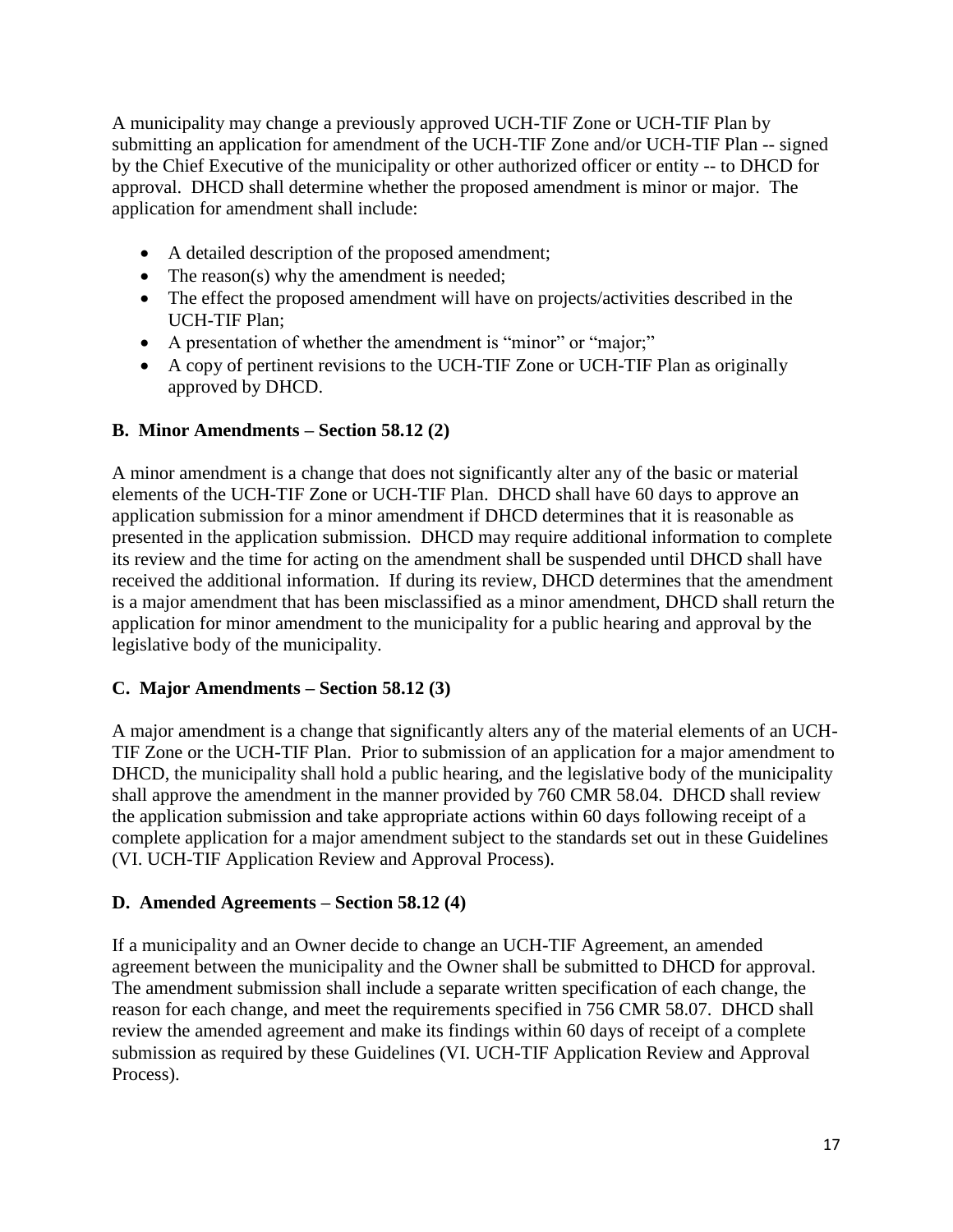A municipality may change a previously approved UCH-TIF Zone or UCH-TIF Plan by submitting an application for amendment of the UCH-TIF Zone and/or UCH-TIF Plan -- signed by the Chief Executive of the municipality or other authorized officer or entity -- to DHCD for approval. DHCD shall determine whether the proposed amendment is minor or major. The application for amendment shall include:

- A detailed description of the proposed amendment;
- The reason(s) why the amendment is needed;
- The effect the proposed amendment will have on projects/activities described in the UCH-TIF Plan;
- A presentation of whether the amendment is "minor" or "major;"
- A copy of pertinent revisions to the UCH-TIF Zone or UCH-TIF Plan as originally approved by DHCD.

## **B. Minor Amendments – Section 58.12 (2)**

A minor amendment is a change that does not significantly alter any of the basic or material elements of the UCH-TIF Zone or UCH-TIF Plan. DHCD shall have 60 days to approve an application submission for a minor amendment if DHCD determines that it is reasonable as presented in the application submission. DHCD may require additional information to complete its review and the time for acting on the amendment shall be suspended until DHCD shall have received the additional information. If during its review, DHCD determines that the amendment is a major amendment that has been misclassified as a minor amendment, DHCD shall return the application for minor amendment to the municipality for a public hearing and approval by the legislative body of the municipality.

## **C. Major Amendments – Section 58.12 (3)**

A major amendment is a change that significantly alters any of the material elements of an UCH-TIF Zone or the UCH-TIF Plan. Prior to submission of an application for a major amendment to DHCD, the municipality shall hold a public hearing, and the legislative body of the municipality shall approve the amendment in the manner provided by 760 CMR 58.04. DHCD shall review the application submission and take appropriate actions within 60 days following receipt of a complete application for a major amendment subject to the standards set out in these Guidelines (VI. UCH-TIF Application Review and Approval Process).

## **D. Amended Agreements – Section 58.12 (4)**

If a municipality and an Owner decide to change an UCH-TIF Agreement, an amended agreement between the municipality and the Owner shall be submitted to DHCD for approval. The amendment submission shall include a separate written specification of each change, the reason for each change, and meet the requirements specified in 756 CMR 58.07. DHCD shall review the amended agreement and make its findings within 60 days of receipt of a complete submission as required by these Guidelines (VI. UCH-TIF Application Review and Approval Process).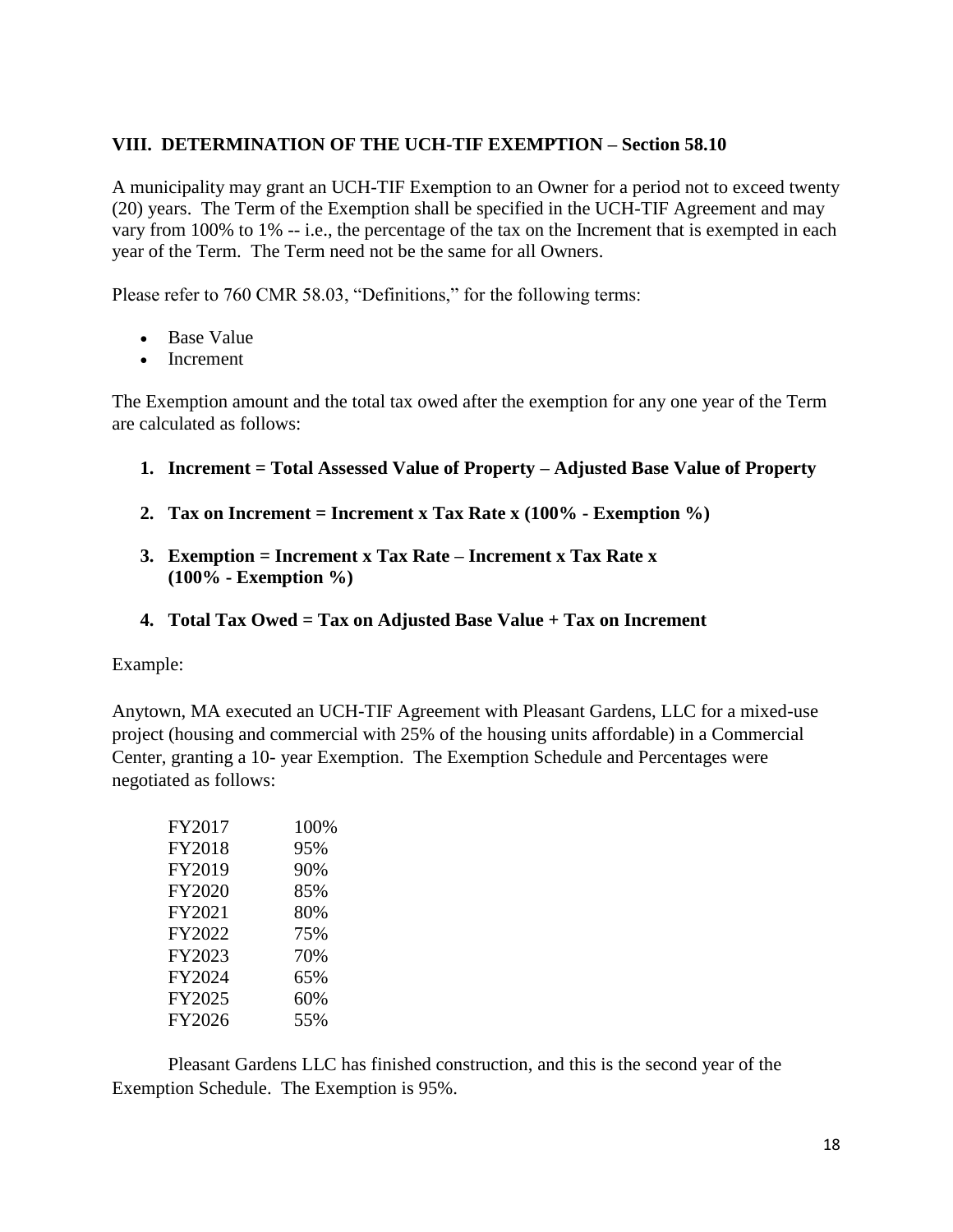#### **VIII. DETERMINATION OF THE UCH-TIF EXEMPTION – Section 58.10**

A municipality may grant an UCH-TIF Exemption to an Owner for a period not to exceed twenty (20) years. The Term of the Exemption shall be specified in the UCH-TIF Agreement and may vary from 100% to 1% -- i.e., the percentage of the tax on the Increment that is exempted in each year of the Term. The Term need not be the same for all Owners.

Please refer to 760 CMR 58.03, "Definitions," for the following terms:

- Base Value
- Increment

The Exemption amount and the total tax owed after the exemption for any one year of the Term are calculated as follows:

- **1. Increment = Total Assessed Value of Property – Adjusted Base Value of Property**
- **2. Tax on Increment = Increment x Tax Rate x (100% - Exemption %)**
- **3. Exemption = Increment x Tax Rate – Increment x Tax Rate x (100% - Exemption %)**
- **4. Total Tax Owed = Tax on Adjusted Base Value + Tax on Increment**

Example:

Anytown, MA executed an UCH-TIF Agreement with Pleasant Gardens, LLC for a mixed-use project (housing and commercial with 25% of the housing units affordable) in a Commercial Center, granting a 10- year Exemption. The Exemption Schedule and Percentages were negotiated as follows:

| FY2017 | 100% |
|--------|------|
| FY2018 | 95%  |
| FY2019 | 90%  |
| FY2020 | 85%  |
| FY2021 | 80%  |
| FY2022 | 75%  |
| FY2023 | 70%  |
| FY2024 | 65%  |
| FY2025 | 60%  |
| FY2026 | 55%  |

Pleasant Gardens LLC has finished construction, and this is the second year of the Exemption Schedule. The Exemption is 95%.